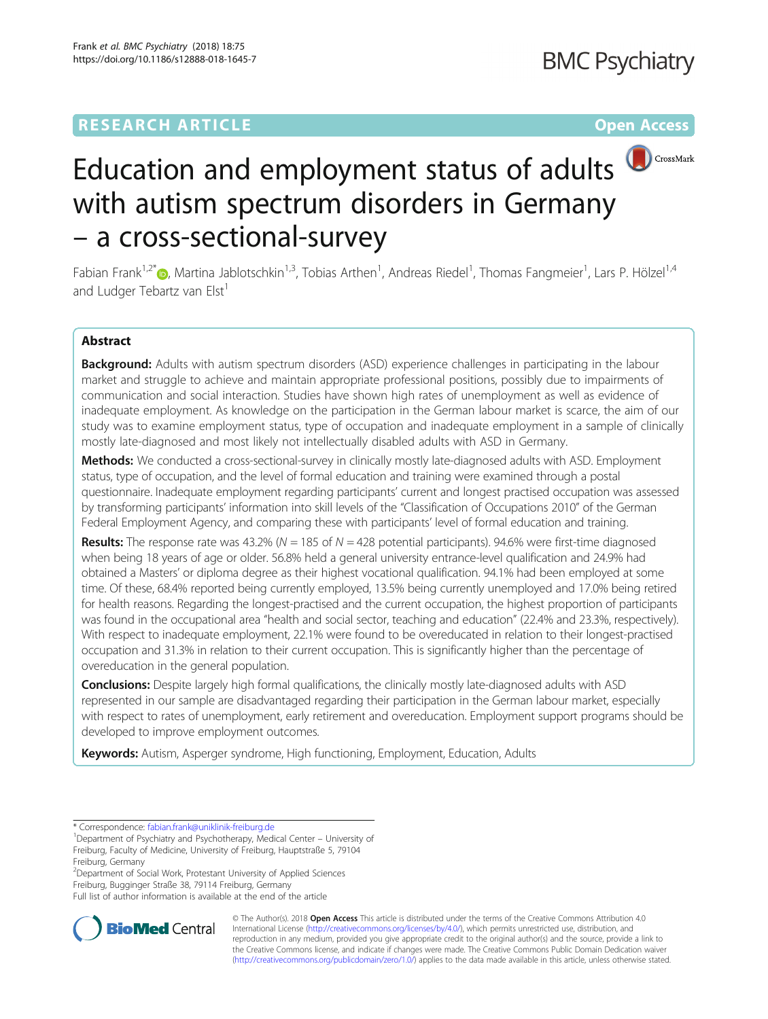# **RESEARCH ARTICLE Example 2014 12:30 The Contract of Contract ACCESS**



# Education and employment status of adults with autism spectrum disorders in Germany – a cross-sectional-survey

Fabian Frank<sup>1,2\*</sup>®, Martina Jablotschkin<sup>1,3</sup>, Tobias Arthen<sup>1</sup>, Andreas Riedel<sup>1</sup>, Thomas Fangmeier<sup>1</sup>, Lars P. Hölzel<sup>1,4</sup> and Ludger Tebartz van Elst<sup>1</sup>

## Abstract

Background: Adults with autism spectrum disorders (ASD) experience challenges in participating in the labour market and struggle to achieve and maintain appropriate professional positions, possibly due to impairments of communication and social interaction. Studies have shown high rates of unemployment as well as evidence of inadequate employment. As knowledge on the participation in the German labour market is scarce, the aim of our study was to examine employment status, type of occupation and inadequate employment in a sample of clinically mostly late-diagnosed and most likely not intellectually disabled adults with ASD in Germany.

Methods: We conducted a cross-sectional-survey in clinically mostly late-diagnosed adults with ASD. Employment status, type of occupation, and the level of formal education and training were examined through a postal questionnaire. Inadequate employment regarding participants' current and longest practised occupation was assessed by transforming participants' information into skill levels of the "Classification of Occupations 2010" of the German Federal Employment Agency, and comparing these with participants' level of formal education and training.

**Results:** The response rate was 43.2% ( $N = 185$  of  $N = 428$  potential participants). 94.6% were first-time diagnosed when being 18 years of age or older. 56.8% held a general university entrance-level qualification and 24.9% had obtained a Masters' or diploma degree as their highest vocational qualification. 94.1% had been employed at some time. Of these, 68.4% reported being currently employed, 13.5% being currently unemployed and 17.0% being retired for health reasons. Regarding the longest-practised and the current occupation, the highest proportion of participants was found in the occupational area "health and social sector, teaching and education" (22.4% and 23.3%, respectively). With respect to inadequate employment, 22.1% were found to be overeducated in relation to their longest-practised occupation and 31.3% in relation to their current occupation. This is significantly higher than the percentage of overeducation in the general population.

**Conclusions:** Despite largely high formal qualifications, the clinically mostly late-diagnosed adults with ASD represented in our sample are disadvantaged regarding their participation in the German labour market, especially with respect to rates of unemployment, early retirement and overeducation. Employment support programs should be developed to improve employment outcomes.

Keywords: Autism, Asperger syndrome, High functioning, Employment, Education, Adults

2 Department of Social Work, Protestant University of Applied Sciences

Freiburg, Bugginger Straße 38, 79114 Freiburg, Germany

Full list of author information is available at the end of the article



© The Author(s). 2018 Open Access This article is distributed under the terms of the Creative Commons Attribution 4.0 International License [\(http://creativecommons.org/licenses/by/4.0/](http://creativecommons.org/licenses/by/4.0/)), which permits unrestricted use, distribution, and reproduction in any medium, provided you give appropriate credit to the original author(s) and the source, provide a link to the Creative Commons license, and indicate if changes were made. The Creative Commons Public Domain Dedication waiver [\(http://creativecommons.org/publicdomain/zero/1.0/](http://creativecommons.org/publicdomain/zero/1.0/)) applies to the data made available in this article, unless otherwise stated.

<sup>\*</sup> Correspondence: [fabian.frank@uniklinik-freiburg.de](mailto:fabian.frank@uniklinik-freiburg.de) <sup>1</sup>

<sup>&</sup>lt;sup>1</sup>Department of Psychiatry and Psychotherapy, Medical Center – University of Freiburg, Faculty of Medicine, University of Freiburg, Hauptstraße 5, 79104 Freiburg, Germany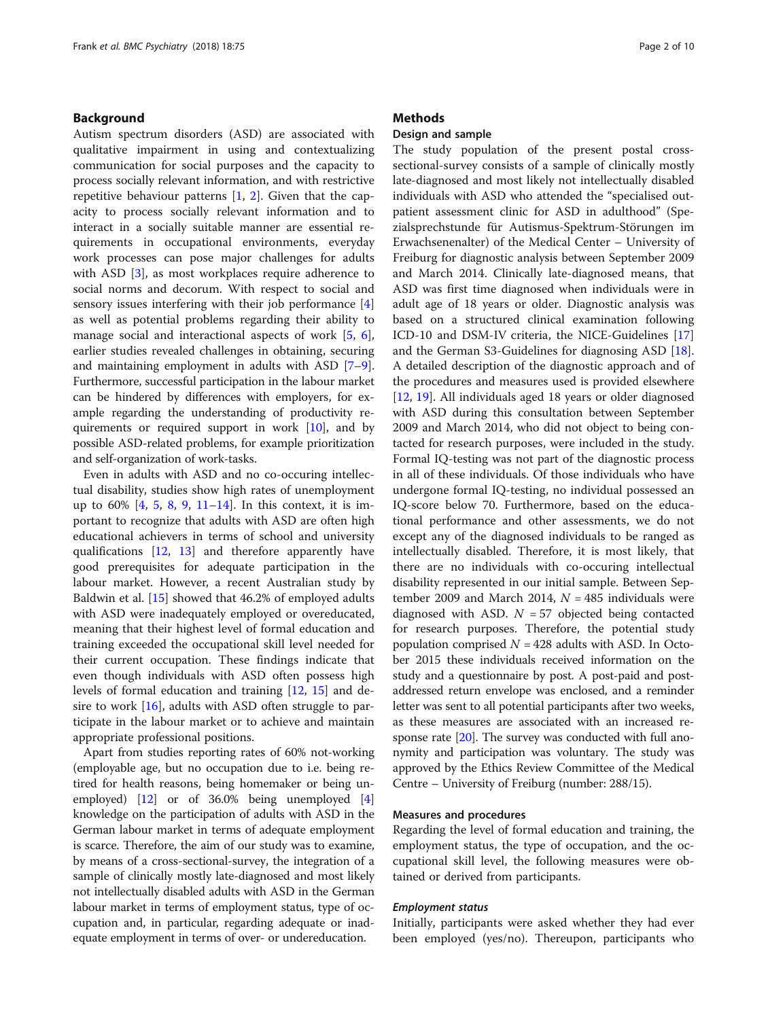#### Background

Autism spectrum disorders (ASD) are associated with qualitative impairment in using and contextualizing communication for social purposes and the capacity to process socially relevant information, and with restrictive repetitive behaviour patterns  $[1, 2]$  $[1, 2]$  $[1, 2]$ . Given that the capacity to process socially relevant information and to interact in a socially suitable manner are essential requirements in occupational environments, everyday work processes can pose major challenges for adults with ASD [[3](#page-8-0)], as most workplaces require adherence to social norms and decorum. With respect to social and sensory issues interfering with their job performance [\[4](#page-8-0)] as well as potential problems regarding their ability to manage social and interactional aspects of work [[5,](#page-8-0) [6](#page-8-0)], earlier studies revealed challenges in obtaining, securing and maintaining employment in adults with ASD [[7](#page-8-0)–[9](#page-8-0)]. Furthermore, successful participation in the labour market can be hindered by differences with employers, for example regarding the understanding of productivity requirements or required support in work [\[10\]](#page-8-0), and by possible ASD-related problems, for example prioritization and self-organization of work-tasks.

Even in adults with ASD and no co-occuring intellectual disability, studies show high rates of unemployment up to  $60\%$  [[4,](#page-8-0) [5,](#page-8-0) [8,](#page-8-0) [9](#page-8-0), [11](#page-8-0)–[14\]](#page-8-0). In this context, it is important to recognize that adults with ASD are often high educational achievers in terms of school and university qualifications [\[12](#page-8-0), [13\]](#page-8-0) and therefore apparently have good prerequisites for adequate participation in the labour market. However, a recent Australian study by Baldwin et al. [[15\]](#page-8-0) showed that 46.2% of employed adults with ASD were inadequately employed or overeducated, meaning that their highest level of formal education and training exceeded the occupational skill level needed for their current occupation. These findings indicate that even though individuals with ASD often possess high levels of formal education and training [\[12,](#page-8-0) [15\]](#page-8-0) and desire to work [[16\]](#page-8-0), adults with ASD often struggle to participate in the labour market or to achieve and maintain appropriate professional positions.

Apart from studies reporting rates of 60% not-working (employable age, but no occupation due to i.e. being retired for health reasons, being homemaker or being unemployed) [\[12\]](#page-8-0) or of 36.0% being unemployed [[4](#page-8-0)] knowledge on the participation of adults with ASD in the German labour market in terms of adequate employment is scarce. Therefore, the aim of our study was to examine, by means of a cross-sectional-survey, the integration of a sample of clinically mostly late-diagnosed and most likely not intellectually disabled adults with ASD in the German labour market in terms of employment status, type of occupation and, in particular, regarding adequate or inadequate employment in terms of over- or undereducation.

#### **Methods**

#### Design and sample

The study population of the present postal crosssectional-survey consists of a sample of clinically mostly late-diagnosed and most likely not intellectually disabled individuals with ASD who attended the "specialised outpatient assessment clinic for ASD in adulthood" (Spezialsprechstunde für Autismus-Spektrum-Störungen im Erwachsenenalter) of the Medical Center – University of Freiburg for diagnostic analysis between September 2009 and March 2014. Clinically late-diagnosed means, that ASD was first time diagnosed when individuals were in adult age of 18 years or older. Diagnostic analysis was based on a structured clinical examination following ICD-10 and DSM-IV criteria, the NICE-Guidelines [[17](#page-8-0)] and the German S3-Guidelines for diagnosing ASD [\[18](#page-8-0)]. A detailed description of the diagnostic approach and of the procedures and measures used is provided elsewhere [[12,](#page-8-0) [19\]](#page-8-0). All individuals aged 18 years or older diagnosed with ASD during this consultation between September 2009 and March 2014, who did not object to being contacted for research purposes, were included in the study. Formal IQ-testing was not part of the diagnostic process in all of these individuals. Of those individuals who have undergone formal IQ-testing, no individual possessed an IQ-score below 70. Furthermore, based on the educational performance and other assessments, we do not except any of the diagnosed individuals to be ranged as intellectually disabled. Therefore, it is most likely, that there are no individuals with co-occuring intellectual disability represented in our initial sample. Between September 2009 and March 2014,  $N = 485$  individuals were diagnosed with ASD.  $N = 57$  objected being contacted for research purposes. Therefore, the potential study population comprised  $N = 428$  adults with ASD. In October 2015 these individuals received information on the study and a questionnaire by post. A post-paid and postaddressed return envelope was enclosed, and a reminder letter was sent to all potential participants after two weeks, as these measures are associated with an increased response rate [\[20\]](#page-8-0). The survey was conducted with full anonymity and participation was voluntary. The study was approved by the Ethics Review Committee of the Medical Centre – University of Freiburg (number: 288/15).

#### Measures and procedures

Regarding the level of formal education and training, the employment status, the type of occupation, and the occupational skill level, the following measures were obtained or derived from participants.

#### Employment status

Initially, participants were asked whether they had ever been employed (yes/no). Thereupon, participants who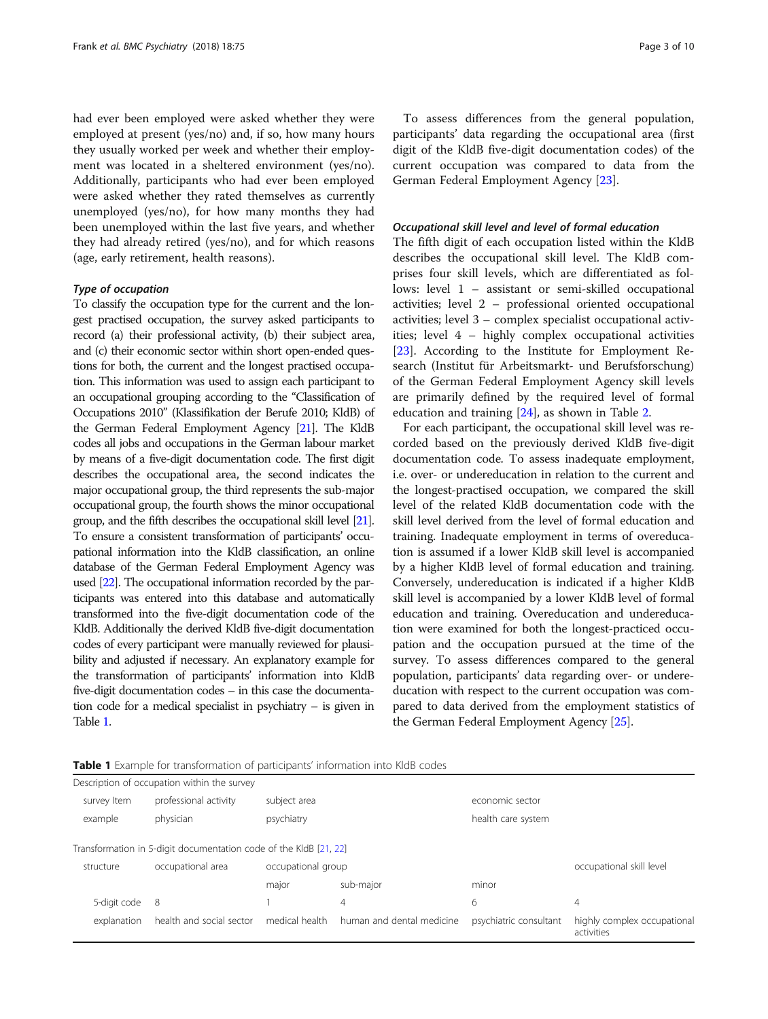had ever been employed were asked whether they were employed at present (yes/no) and, if so, how many hours they usually worked per week and whether their employment was located in a sheltered environment (yes/no). Additionally, participants who had ever been employed were asked whether they rated themselves as currently unemployed (yes/no), for how many months they had been unemployed within the last five years, and whether they had already retired (yes/no), and for which reasons (age, early retirement, health reasons).

#### Type of occupation

To classify the occupation type for the current and the longest practised occupation, the survey asked participants to record (a) their professional activity, (b) their subject area, and (c) their economic sector within short open-ended questions for both, the current and the longest practised occupation. This information was used to assign each participant to an occupational grouping according to the "Classification of Occupations 2010" (Klassifikation der Berufe 2010; KldB) of the German Federal Employment Agency [\[21\]](#page-8-0). The KldB codes all jobs and occupations in the German labour market by means of a five-digit documentation code. The first digit describes the occupational area, the second indicates the major occupational group, the third represents the sub-major occupational group, the fourth shows the minor occupational group, and the fifth describes the occupational skill level [\[21\]](#page-8-0). To ensure a consistent transformation of participants' occupational information into the KldB classification, an online database of the German Federal Employment Agency was used [[22\]](#page-8-0). The occupational information recorded by the participants was entered into this database and automatically transformed into the five-digit documentation code of the KldB. Additionally the derived KldB five-digit documentation codes of every participant were manually reviewed for plausibility and adjusted if necessary. An explanatory example for the transformation of participants' information into KldB five-digit documentation codes – in this case the documentation code for a medical specialist in psychiatry – is given in Table 1.

To assess differences from the general population, participants' data regarding the occupational area (first digit of the KldB five-digit documentation codes) of the current occupation was compared to data from the German Federal Employment Agency [\[23\]](#page-8-0).

#### Occupational skill level and level of formal education

The fifth digit of each occupation listed within the KldB describes the occupational skill level. The KldB comprises four skill levels, which are differentiated as follows: level 1 – assistant or semi-skilled occupational activities; level 2 – professional oriented occupational activities; level 3 – complex specialist occupational activities; level 4 – highly complex occupational activities [[23\]](#page-8-0). According to the Institute for Employment Research (Institut für Arbeitsmarkt- und Berufsforschung) of the German Federal Employment Agency skill levels are primarily defined by the required level of formal education and training [[24](#page-8-0)], as shown in Table [2](#page-3-0).

For each participant, the occupational skill level was recorded based on the previously derived KldB five-digit documentation code. To assess inadequate employment, i.e. over- or undereducation in relation to the current and the longest-practised occupation, we compared the skill level of the related KldB documentation code with the skill level derived from the level of formal education and training. Inadequate employment in terms of overeducation is assumed if a lower KldB skill level is accompanied by a higher KldB level of formal education and training. Conversely, undereducation is indicated if a higher KldB skill level is accompanied by a lower KldB level of formal education and training. Overeducation and undereducation were examined for both the longest-practiced occupation and the occupation pursued at the time of the survey. To assess differences compared to the general population, participants' data regarding over- or undereducation with respect to the current occupation was compared to data derived from the employment statistics of the German Federal Employment Agency [[25](#page-8-0)].

|                                                                   | Description of occupation within the survey |                    |                           |                        |                                           |  |
|-------------------------------------------------------------------|---------------------------------------------|--------------------|---------------------------|------------------------|-------------------------------------------|--|
| survey Item                                                       | professional activity                       | subject area       |                           | economic sector        |                                           |  |
| example                                                           | physician                                   | psychiatry         |                           | health care system     |                                           |  |
| Transformation in 5-digit documentation code of the KldB [21, 22] |                                             |                    |                           |                        |                                           |  |
| structure                                                         | occupational area                           | occupational group |                           |                        | occupational skill level                  |  |
|                                                                   |                                             | major              | sub-major                 | minor                  |                                           |  |
| 5-digit code                                                      | 8                                           |                    | 4                         | 6                      | 4                                         |  |
| explanation                                                       | health and social sector                    | medical health     | human and dental medicine | psychiatric consultant | highly complex occupational<br>activities |  |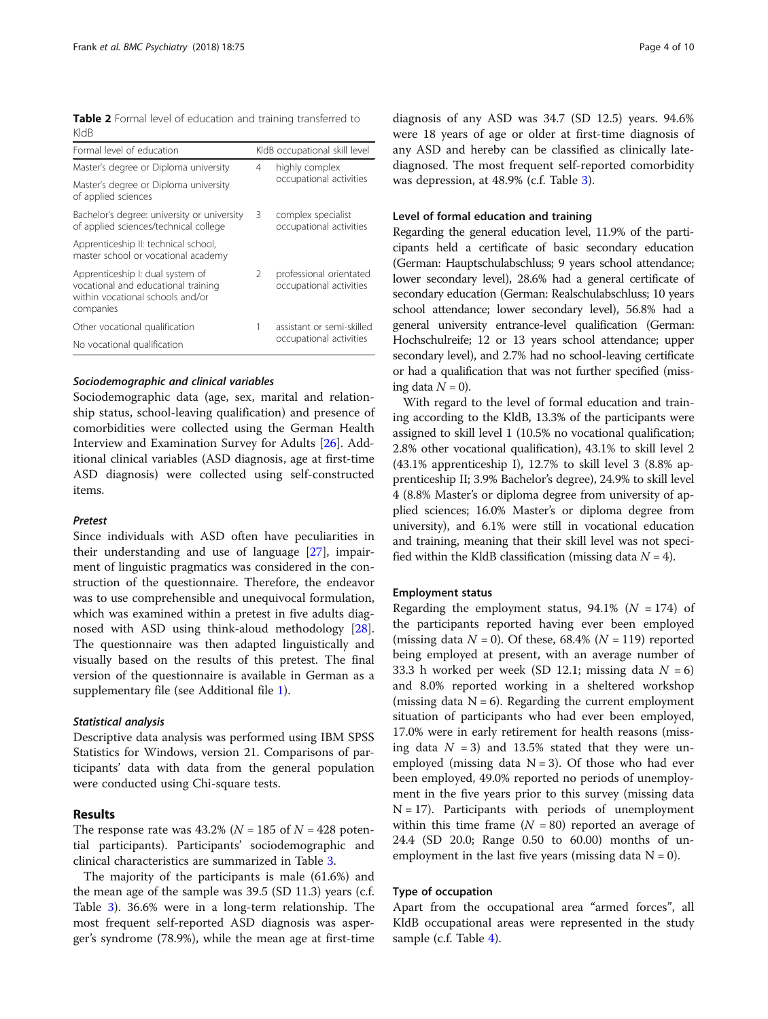<span id="page-3-0"></span>Table 2 Formal level of education and training transferred to KldB

| Formal level of education                                                                                                |                         | KldB occupational skill level                      |
|--------------------------------------------------------------------------------------------------------------------------|-------------------------|----------------------------------------------------|
| Master's degree or Diploma university                                                                                    | 4                       | highly complex                                     |
| Master's degree or Diploma university<br>of applied sciences                                                             |                         | occupational activities                            |
| Bachelor's degree: university or university<br>of applied sciences/technical college                                     | 3                       | complex specialist<br>occupational activities      |
| Apprenticeship II: technical school,<br>master school or vocational academy                                              |                         |                                                    |
| Apprenticeship I: dual system of<br>vocational and educational training<br>within vocational schools and/or<br>companies | $\mathcal{P}$           | professional orientated<br>occupational activities |
| Other vocational qualification                                                                                           | 1                       | assistant or semi-skilled                          |
| No vocational qualification                                                                                              | occupational activities |                                                    |

### Sociodemographic and clinical variables

Sociodemographic data (age, sex, marital and relationship status, school-leaving qualification) and presence of comorbidities were collected using the German Health Interview and Examination Survey for Adults [\[26\]](#page-8-0). Additional clinical variables (ASD diagnosis, age at first-time ASD diagnosis) were collected using self-constructed items.

#### Pretest

Since individuals with ASD often have peculiarities in their understanding and use of language [\[27](#page-8-0)], impairment of linguistic pragmatics was considered in the construction of the questionnaire. Therefore, the endeavor was to use comprehensible and unequivocal formulation, which was examined within a pretest in five adults diagnosed with ASD using think-aloud methodology [\[28](#page-8-0)]. The questionnaire was then adapted linguistically and visually based on the results of this pretest. The final version of the questionnaire is available in German as a supplementary file (see Additional file [1](#page-7-0)).

#### Statistical analysis

Descriptive data analysis was performed using IBM SPSS Statistics for Windows, version 21. Comparisons of participants' data with data from the general population were conducted using Chi-square tests.

#### Results

The response rate was 43.2% ( $N = 185$  of  $N = 428$  potential participants). Participants' sociodemographic and clinical characteristics are summarized in Table [3.](#page-4-0)

The majority of the participants is male (61.6%) and the mean age of the sample was 39.5 (SD 11.3) years (c.f. Table [3\)](#page-4-0). 36.6% were in a long-term relationship. The most frequent self-reported ASD diagnosis was asperger's syndrome (78.9%), while the mean age at first-time

diagnosis of any ASD was 34.7 (SD 12.5) years. 94.6% were 18 years of age or older at first-time diagnosis of any ASD and hereby can be classified as clinically latediagnosed. The most frequent self-reported comorbidity was depression, at 48.9% (c.f. Table [3](#page-4-0)).

#### Level of formal education and training

Regarding the general education level, 11.9% of the participants held a certificate of basic secondary education (German: Hauptschulabschluss; 9 years school attendance; lower secondary level), 28.6% had a general certificate of secondary education (German: Realschulabschluss; 10 years school attendance; lower secondary level), 56.8% had a general university entrance-level qualification (German: Hochschulreife; 12 or 13 years school attendance; upper secondary level), and 2.7% had no school-leaving certificate or had a qualification that was not further specified (missing data  $N = 0$ ).

With regard to the level of formal education and training according to the KldB, 13.3% of the participants were assigned to skill level 1 (10.5% no vocational qualification; 2.8% other vocational qualification), 43.1% to skill level 2 (43.1% apprenticeship I), 12.7% to skill level 3 (8.8% apprenticeship II; 3.9% Bachelor's degree), 24.9% to skill level 4 (8.8% Master's or diploma degree from university of applied sciences; 16.0% Master's or diploma degree from university), and 6.1% were still in vocational education and training, meaning that their skill level was not specified within the KldB classification (missing data  $N = 4$ ).

#### Employment status

Regarding the employment status,  $94.1\%$  ( $N = 174$ ) of the participants reported having ever been employed (missing data  $N = 0$ ). Of these, 68.4% ( $N = 119$ ) reported being employed at present, with an average number of 33.3 h worked per week (SD 12.1; missing data  $N = 6$ ) and 8.0% reported working in a sheltered workshop (missing data  $N = 6$ ). Regarding the current employment situation of participants who had ever been employed, 17.0% were in early retirement for health reasons (missing data  $N = 3$ ) and 13.5% stated that they were unemployed (missing data  $N = 3$ ). Of those who had ever been employed, 49.0% reported no periods of unemployment in the five years prior to this survey (missing data  $N = 17$ ). Participants with periods of unemployment within this time frame  $(N = 80)$  reported an average of 24.4 (SD 20.0; Range 0.50 to 60.00) months of unemployment in the last five years (missing data  $N = 0$ ).

#### Type of occupation

Apart from the occupational area "armed forces", all KldB occupational areas were represented in the study sample (c.f. Table [4\)](#page-4-0).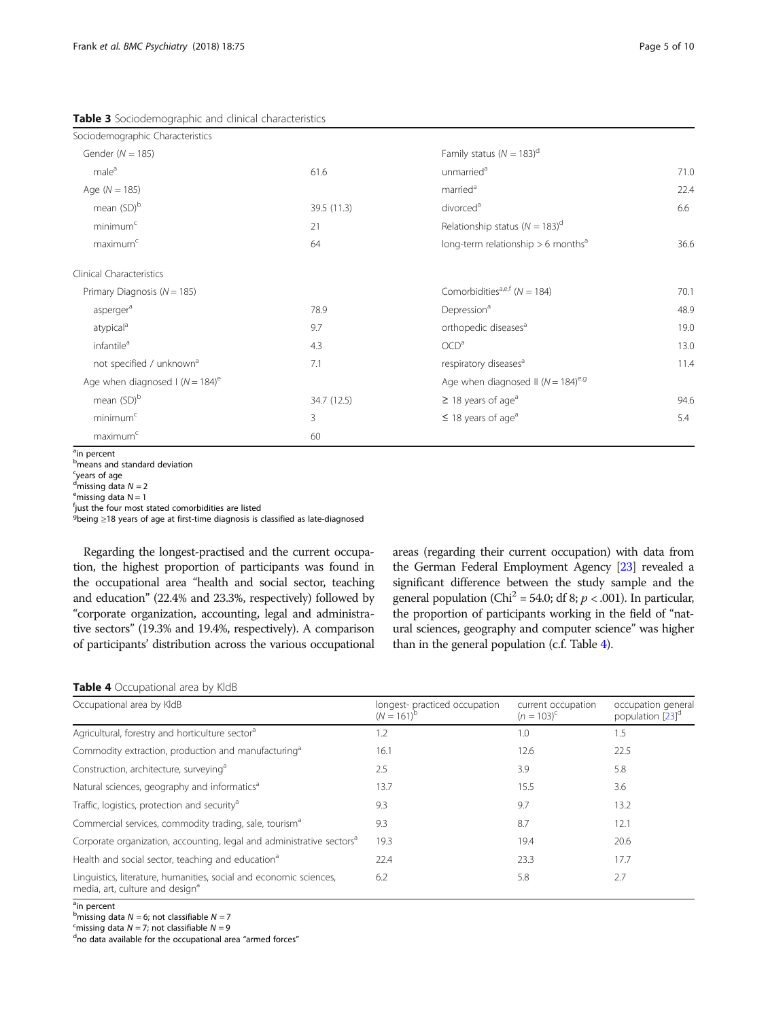<span id="page-4-0"></span>Table 3 Sociodemographic and clinical characteristics

| Sociodemographic Characteristics                              |             |                                                    |      |
|---------------------------------------------------------------|-------------|----------------------------------------------------|------|
| Gender ( $N = 185$ )                                          |             | Family status ( $N = 183$ ) <sup>d</sup>           |      |
| male <sup>a</sup>                                             | 61.6        | unmarried <sup>a</sup>                             | 71.0 |
| Age $(N = 185)$                                               |             | married <sup>a</sup>                               | 22.4 |
| mean (SD) <sup>b</sup>                                        | 39.5 (11.3) | divorced <sup>a</sup>                              | 6.6  |
| minimum <sup>c</sup>                                          | 21          | Relationship status ( $N = 183$ ) <sup>d</sup>     |      |
| maximum <sup>c</sup>                                          | 64          | long-term relationship $> 6$ months <sup>a</sup>   | 36.6 |
| Clinical Characteristics                                      |             |                                                    |      |
| Primary Diagnosis ( $N = 185$ )                               |             | Comorbidities <sup>a,e,f</sup> ( $N = 184$ )       | 70.1 |
| asperger <sup>a</sup>                                         | 78.9        | Depression <sup>a</sup>                            | 48.9 |
| atypical <sup>a</sup>                                         | 9.7         | orthopedic diseases <sup>a</sup>                   | 19.0 |
| infantile <sup>a</sup>                                        | 4.3         | OCD <sup>a</sup>                                   | 13.0 |
| not specified / unknown <sup>a</sup>                          | 7.1         | respiratory diseases <sup>a</sup>                  | 11.4 |
| Age when diagnosed $\left(\sqrt{N}\right) = 184$ <sup>e</sup> |             | Age when diagnosed II ( $N = 184$ ) <sup>e,g</sup> |      |
| mean (SD) <sup>b</sup>                                        | 34.7 (12.5) | $\geq$ 18 years of age <sup>a</sup>                | 94.6 |
| minimum <sup>c</sup>                                          | 3           | $\leq$ 18 years of age <sup>a</sup>                | 5.4  |
| maximum <sup>c</sup>                                          | 60          |                                                    |      |

<sup>a</sup>in percent

**b** means and standard deviation

<sup>c</sup>years of age

<sup>d</sup>missing data  $N = 2$ <br><sup>e</sup>missing data  $N = 1$  $e<sup>e</sup>$ missing data N = 1

fjust the four most stated comorbidities are listed

<sup>g</sup>being ≥18 years of age at first-time diagnosis is classified as late-diagnosed

Regarding the longest-practised and the current occupation, the highest proportion of participants was found in the occupational area "health and social sector, teaching and education" (22.4% and 23.3%, respectively) followed by "corporate organization, accounting, legal and administrative sectors" (19.3% and 19.4%, respectively). A comparison of participants' distribution across the various occupational areas (regarding their current occupation) with data from the German Federal Employment Agency [\[23\]](#page-8-0) revealed a significant difference between the study sample and the general population (Chi<sup>2</sup> = 54.0; df 8;  $p < .001$ ). In particular, the proportion of participants working in the field of "natural sciences, geography and computer science" was higher than in the general population (c.f. Table 4).

|  | <b>Table 4</b> Occupational area by KldB |  |
|--|------------------------------------------|--|
|--|------------------------------------------|--|

| Occupational area by KldB                                                                                         | longest-practiced occupation<br>$(N = 161)^b$ | current occupation<br>$(n = 103)^{c}$ | occupation general<br>population [23] <sup>d</sup> |
|-------------------------------------------------------------------------------------------------------------------|-----------------------------------------------|---------------------------------------|----------------------------------------------------|
| Agricultural, forestry and horticulture sector <sup>a</sup>                                                       | 1.2                                           | 1.0                                   | 1.5                                                |
| Commodity extraction, production and manufacturing <sup>a</sup>                                                   | 16.1                                          | 12.6                                  | 22.5                                               |
| Construction, architecture, surveying <sup>a</sup>                                                                | 2.5                                           | 3.9                                   | 5.8                                                |
| Natural sciences, geography and informatics <sup>a</sup>                                                          | 13.7                                          | 15.5                                  | 3.6                                                |
| Traffic, logistics, protection and security <sup>a</sup>                                                          | 9.3                                           | 9.7                                   | 13.2                                               |
| Commercial services, commodity trading, sale, tourism <sup>a</sup>                                                | 9.3                                           | 8.7                                   | 12.1                                               |
| Corporate organization, accounting, legal and administrative sectors <sup>a</sup>                                 | 19.3                                          | 19.4                                  | 20.6                                               |
| Health and social sector, teaching and education <sup>a</sup>                                                     | 22.4                                          | 23.3                                  | 17.7                                               |
| Linguistics, literature, humanities, social and economic sciences,<br>media, art, culture and design <sup>a</sup> | 6.2                                           | 5.8                                   | 2.7                                                |

<sup>a</sup>in percent

<sup>b</sup> missing data  $N = 6$ ; not classifiable  $N = 7$ <br><sup>S</sup> missing data  $N = 7$ ; not classifiable  $N = 0$ 

<sup>c</sup> missing data  $N = 7$ ; not classifiable  $N = 9$ 

no data available for the occupational area "armed forces"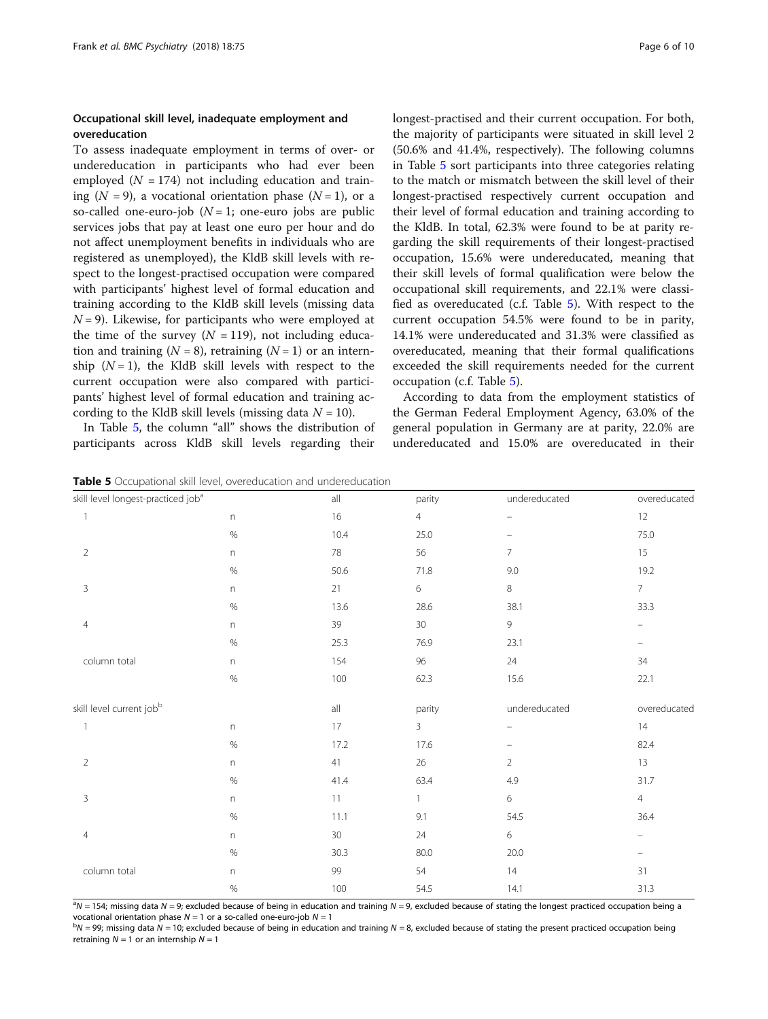#### Occupational skill level, inadequate employment and overeducation

To assess inadequate employment in terms of over- or undereducation in participants who had ever been employed  $(N = 174)$  not including education and training  $(N = 9)$ , a vocational orientation phase  $(N = 1)$ , or a so-called one-euro-job  $(N = 1)$ ; one-euro jobs are public services jobs that pay at least one euro per hour and do not affect unemployment benefits in individuals who are registered as unemployed), the KldB skill levels with respect to the longest-practised occupation were compared with participants' highest level of formal education and training according to the KldB skill levels (missing data  $N = 9$ ). Likewise, for participants who were employed at the time of the survey  $(N = 119)$ , not including education and training  $(N = 8)$ , retraining  $(N = 1)$  or an internship  $(N = 1)$ , the KldB skill levels with respect to the current occupation were also compared with participants' highest level of formal education and training according to the KldB skill levels (missing data  $N = 10$ ).

In Table 5, the column "all" shows the distribution of participants across KldB skill levels regarding their

longest-practised and their current occupation. For both, the majority of participants were situated in skill level 2 (50.6% and 41.4%, respectively). The following columns in Table 5 sort participants into three categories relating to the match or mismatch between the skill level of their longest-practised respectively current occupation and their level of formal education and training according to the KldB. In total, 62.3% were found to be at parity regarding the skill requirements of their longest-practised occupation, 15.6% were undereducated, meaning that their skill levels of formal qualification were below the occupational skill requirements, and 22.1% were classified as overeducated (c.f. Table 5). With respect to the current occupation 54.5% were found to be in parity, 14.1% were undereducated and 31.3% were classified as overeducated, meaning that their formal qualifications exceeded the skill requirements needed for the current occupation (c.f. Table 5).

According to data from the employment statistics of the German Federal Employment Agency, 63.0% of the general population in Germany are at parity, 22.0% are undereducated and 15.0% are overeducated in their

**Table 5** Occupational skill level, overeducation and undereducation

| skill level longest-practiced job <sup>a</sup> |                           | all            | parity         | undereducated            | overeducated      |
|------------------------------------------------|---------------------------|----------------|----------------|--------------------------|-------------------|
| 1                                              | n                         | 16             | $\overline{4}$ | $\qquad \qquad -$        | $12 \,$           |
|                                                | $\%$                      | 10.4           | 25.0           | -                        | 75.0              |
| 2                                              | $\mathsf{n}$              | 78             | 56             | $\overline{7}$           | 15                |
|                                                | $\%$                      | 50.6           | 71.8           | $9.0\,$                  | 19.2              |
| 3                                              | n                         | 21             | $\,$ 6 $\,$    | 8                        | 7 <sup>7</sup>    |
|                                                | $\%$                      | 13.6           | 28.6           | 38.1                     | 33.3              |
| $\overline{4}$                                 | $\mathsf{n}$              | 39             | $30\,$         | 9                        | -                 |
|                                                | $\%$                      | 25.3           | 76.9           | 23.1                     | $\equiv$          |
| column total                                   | n                         | 154            | $96\,$         | 24                       | 34                |
|                                                | $\%$                      | $100\,$        | 62.3           | $15.6\,$                 | 22.1              |
| skill level current jobb                       |                           | $\mathsf{all}$ | parity         | undereducated            | overeducated      |
| $\mathbf{1}$                                   | n                         | 17             | 3              | $\overline{\phantom{0}}$ | 14                |
|                                                | $\%$                      | 17.2           | 17.6           | $\qquad \qquad -$        | 82.4              |
| $\overline{2}$                                 | $\boldsymbol{\mathsf{n}}$ | 41             | $26\,$         | $\overline{2}$           | 13                |
|                                                | $\%$                      | 41.4           | 63.4           | 4.9                      | 31.7              |
| 3                                              | $\Gamma$                  | 11             | $\mathbf{1}$   | 6                        | $\overline{4}$    |
|                                                | $\%$                      | 11.1           | 9.1            | 54.5                     | 36.4              |
| $\overline{4}$                                 | n                         | $30\,$         | 24             | 6                        | -                 |
|                                                | $\%$                      | 30.3           | 80.0           | 20.0                     | $\qquad \qquad -$ |
| column total                                   | $\mathsf{n}$              | 99             | 54             | 14                       | 31                |
|                                                | $\%$                      | 100            | 54.5           | 14.1                     | 31.3              |

 $a_{\text{N}}$  = 154; missing data N = 9; excluded because of being in education and training N = 9, excluded because of stating the longest practiced occupation being a vocational orientation phase  $N = 1$  or a so-called one-euro-job  $N = 1$ 

 $bN = 99$ ; missing data  $N = 10$ ; excluded because of being in education and training  $N = 8$ , excluded because of stating the present practiced occupation being retraining  $N = 1$  or an internship  $N = 1$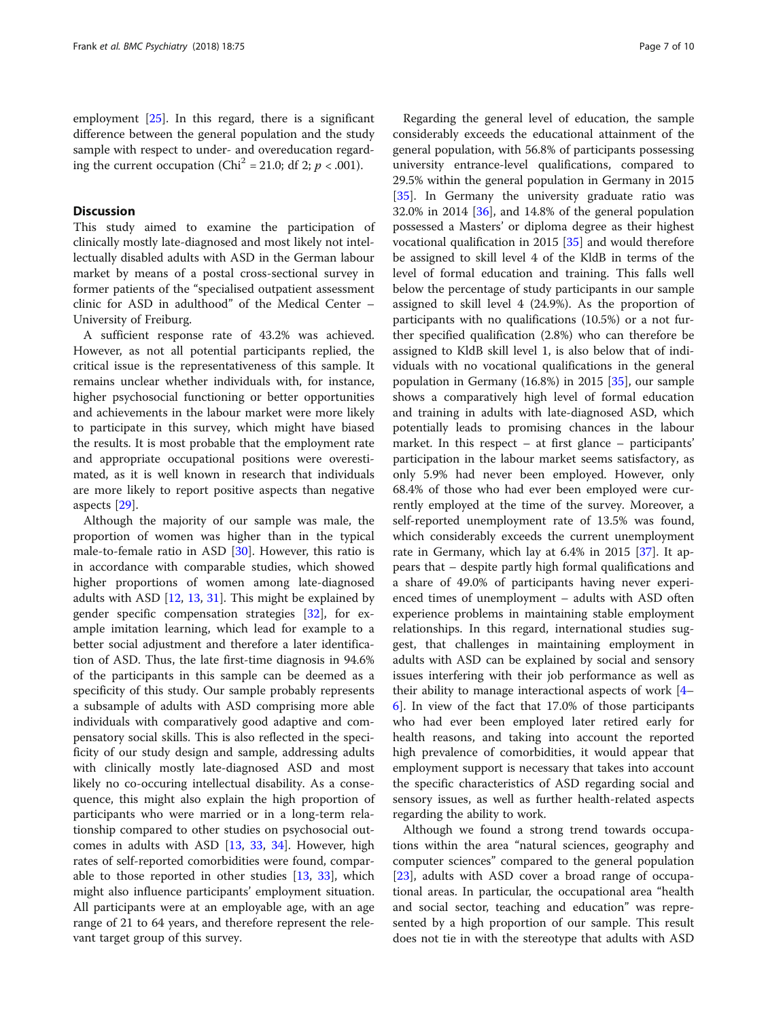employment [[25\]](#page-8-0). In this regard, there is a significant difference between the general population and the study sample with respect to under- and overeducation regarding the current occupation (Chi<sup>2</sup> = 21.0; df 2;  $p < .001$ ).

#### **Discussion**

This study aimed to examine the participation of clinically mostly late-diagnosed and most likely not intellectually disabled adults with ASD in the German labour market by means of a postal cross-sectional survey in former patients of the "specialised outpatient assessment clinic for ASD in adulthood" of the Medical Center – University of Freiburg.

A sufficient response rate of 43.2% was achieved. However, as not all potential participants replied, the critical issue is the representativeness of this sample. It remains unclear whether individuals with, for instance, higher psychosocial functioning or better opportunities and achievements in the labour market were more likely to participate in this survey, which might have biased the results. It is most probable that the employment rate and appropriate occupational positions were overestimated, as it is well known in research that individuals are more likely to report positive aspects than negative aspects [\[29](#page-8-0)].

Although the majority of our sample was male, the proportion of women was higher than in the typical male-to-female ratio in ASD [\[30](#page-8-0)]. However, this ratio is in accordance with comparable studies, which showed higher proportions of women among late-diagnosed adults with ASD [[12](#page-8-0), [13](#page-8-0), [31](#page-8-0)]. This might be explained by gender specific compensation strategies [\[32](#page-9-0)], for example imitation learning, which lead for example to a better social adjustment and therefore a later identification of ASD. Thus, the late first-time diagnosis in 94.6% of the participants in this sample can be deemed as a specificity of this study. Our sample probably represents a subsample of adults with ASD comprising more able individuals with comparatively good adaptive and compensatory social skills. This is also reflected in the specificity of our study design and sample, addressing adults with clinically mostly late-diagnosed ASD and most likely no co-occuring intellectual disability. As a consequence, this might also explain the high proportion of participants who were married or in a long-term relationship compared to other studies on psychosocial outcomes in adults with ASD [[13](#page-8-0), [33,](#page-9-0) [34](#page-9-0)]. However, high rates of self-reported comorbidities were found, comparable to those reported in other studies [\[13,](#page-8-0) [33](#page-9-0)], which might also influence participants' employment situation. All participants were at an employable age, with an age range of 21 to 64 years, and therefore represent the relevant target group of this survey.

Regarding the general level of education, the sample considerably exceeds the educational attainment of the general population, with 56.8% of participants possessing university entrance-level qualifications, compared to 29.5% within the general population in Germany in 2015 [[35\]](#page-9-0). In Germany the university graduate ratio was 32.0% in 2014 [[36](#page-9-0)], and 14.8% of the general population possessed a Masters' or diploma degree as their highest vocational qualification in 2015 [[35](#page-9-0)] and would therefore be assigned to skill level 4 of the KldB in terms of the level of formal education and training. This falls well below the percentage of study participants in our sample assigned to skill level 4 (24.9%). As the proportion of participants with no qualifications (10.5%) or a not further specified qualification (2.8%) who can therefore be assigned to KldB skill level 1, is also below that of individuals with no vocational qualifications in the general population in Germany (16.8%) in 2015 [\[35](#page-9-0)], our sample shows a comparatively high level of formal education and training in adults with late-diagnosed ASD, which potentially leads to promising chances in the labour market. In this respect – at first glance – participants' participation in the labour market seems satisfactory, as only 5.9% had never been employed. However, only 68.4% of those who had ever been employed were currently employed at the time of the survey. Moreover, a self-reported unemployment rate of 13.5% was found, which considerably exceeds the current unemployment rate in Germany, which lay at 6.4% in 2015 [\[37\]](#page-9-0). It appears that – despite partly high formal qualifications and a share of 49.0% of participants having never experienced times of unemployment – adults with ASD often experience problems in maintaining stable employment relationships. In this regard, international studies suggest, that challenges in maintaining employment in adults with ASD can be explained by social and sensory issues interfering with their job performance as well as their ability to manage interactional aspects of work [[4](#page-8-0)– [6\]](#page-8-0). In view of the fact that 17.0% of those participants who had ever been employed later retired early for health reasons, and taking into account the reported high prevalence of comorbidities, it would appear that employment support is necessary that takes into account the specific characteristics of ASD regarding social and sensory issues, as well as further health-related aspects regarding the ability to work.

Although we found a strong trend towards occupations within the area "natural sciences, geography and computer sciences" compared to the general population [[23\]](#page-8-0), adults with ASD cover a broad range of occupational areas. In particular, the occupational area "health and social sector, teaching and education" was represented by a high proportion of our sample. This result does not tie in with the stereotype that adults with ASD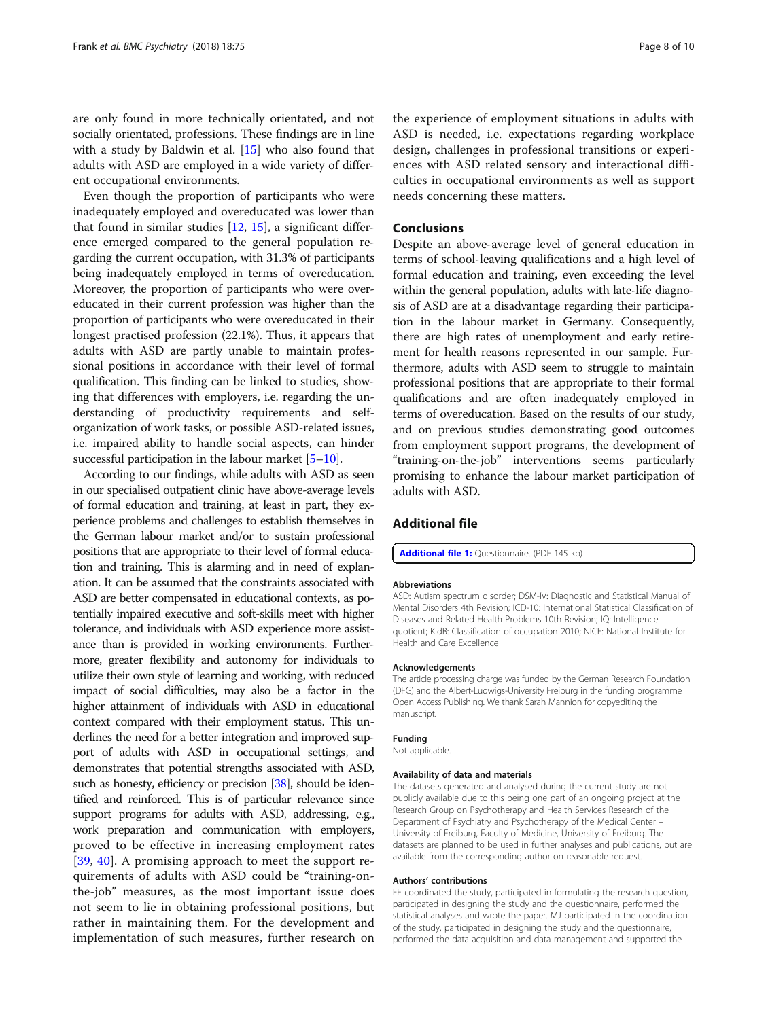<span id="page-7-0"></span>are only found in more technically orientated, and not socially orientated, professions. These findings are in line with a study by Baldwin et al. [\[15](#page-8-0)] who also found that adults with ASD are employed in a wide variety of different occupational environments.

Even though the proportion of participants who were inadequately employed and overeducated was lower than that found in similar studies [[12](#page-8-0), [15](#page-8-0)], a significant difference emerged compared to the general population regarding the current occupation, with 31.3% of participants being inadequately employed in terms of overeducation. Moreover, the proportion of participants who were overeducated in their current profession was higher than the proportion of participants who were overeducated in their longest practised profession (22.1%). Thus, it appears that adults with ASD are partly unable to maintain professional positions in accordance with their level of formal qualification. This finding can be linked to studies, showing that differences with employers, i.e. regarding the understanding of productivity requirements and selforganization of work tasks, or possible ASD-related issues, i.e. impaired ability to handle social aspects, can hinder successful participation in the labour market  $[5-10]$  $[5-10]$  $[5-10]$ .

According to our findings, while adults with ASD as seen in our specialised outpatient clinic have above-average levels of formal education and training, at least in part, they experience problems and challenges to establish themselves in the German labour market and/or to sustain professional positions that are appropriate to their level of formal education and training. This is alarming and in need of explanation. It can be assumed that the constraints associated with ASD are better compensated in educational contexts, as potentially impaired executive and soft-skills meet with higher tolerance, and individuals with ASD experience more assistance than is provided in working environments. Furthermore, greater flexibility and autonomy for individuals to utilize their own style of learning and working, with reduced impact of social difficulties, may also be a factor in the higher attainment of individuals with ASD in educational context compared with their employment status. This underlines the need for a better integration and improved support of adults with ASD in occupational settings, and demonstrates that potential strengths associated with ASD, such as honesty, efficiency or precision [\[38](#page-9-0)], should be identified and reinforced. This is of particular relevance since support programs for adults with ASD, addressing, e.g., work preparation and communication with employers, proved to be effective in increasing employment rates [[39,](#page-9-0) [40](#page-9-0)]. A promising approach to meet the support requirements of adults with ASD could be "training-onthe-job" measures, as the most important issue does not seem to lie in obtaining professional positions, but rather in maintaining them. For the development and implementation of such measures, further research on the experience of employment situations in adults with ASD is needed, i.e. expectations regarding workplace design, challenges in professional transitions or experiences with ASD related sensory and interactional difficulties in occupational environments as well as support needs concerning these matters.

#### Conclusions

Despite an above-average level of general education in terms of school-leaving qualifications and a high level of formal education and training, even exceeding the level within the general population, adults with late-life diagnosis of ASD are at a disadvantage regarding their participation in the labour market in Germany. Consequently, there are high rates of unemployment and early retirement for health reasons represented in our sample. Furthermore, adults with ASD seem to struggle to maintain professional positions that are appropriate to their formal qualifications and are often inadequately employed in terms of overeducation. Based on the results of our study, and on previous studies demonstrating good outcomes from employment support programs, the development of "training-on-the-job" interventions seems particularly promising to enhance the labour market participation of adults with ASD.

#### Additional file

[Additional file 1:](https://doi.org/10.1186/s12888-018-1645-7) Questionnaire. (PDF 145 kb)

#### Abbreviations

ASD: Autism spectrum disorder; DSM-IV: Diagnostic and Statistical Manual of Mental Disorders 4th Revision; ICD-10: International Statistical Classification of Diseases and Related Health Problems 10th Revision; IQ: Intelligence quotient; KldB: Classification of occupation 2010; NICE: National Institute for Health and Care Excellence

#### Acknowledgements

The article processing charge was funded by the German Research Foundation (DFG) and the Albert-Ludwigs-University Freiburg in the funding programme Open Access Publishing. We thank Sarah Mannion for copyediting the manuscript.

#### Funding

Not applicable.

#### Availability of data and materials

The datasets generated and analysed during the current study are not publicly available due to this being one part of an ongoing project at the Research Group on Psychotherapy and Health Services Research of the Department of Psychiatry and Psychotherapy of the Medical Center – University of Freiburg, Faculty of Medicine, University of Freiburg. The datasets are planned to be used in further analyses and publications, but are available from the corresponding author on reasonable request.

#### Authors' contributions

FF coordinated the study, participated in formulating the research question, participated in designing the study and the questionnaire, performed the statistical analyses and wrote the paper. MJ participated in the coordination of the study, participated in designing the study and the questionnaire, performed the data acquisition and data management and supported the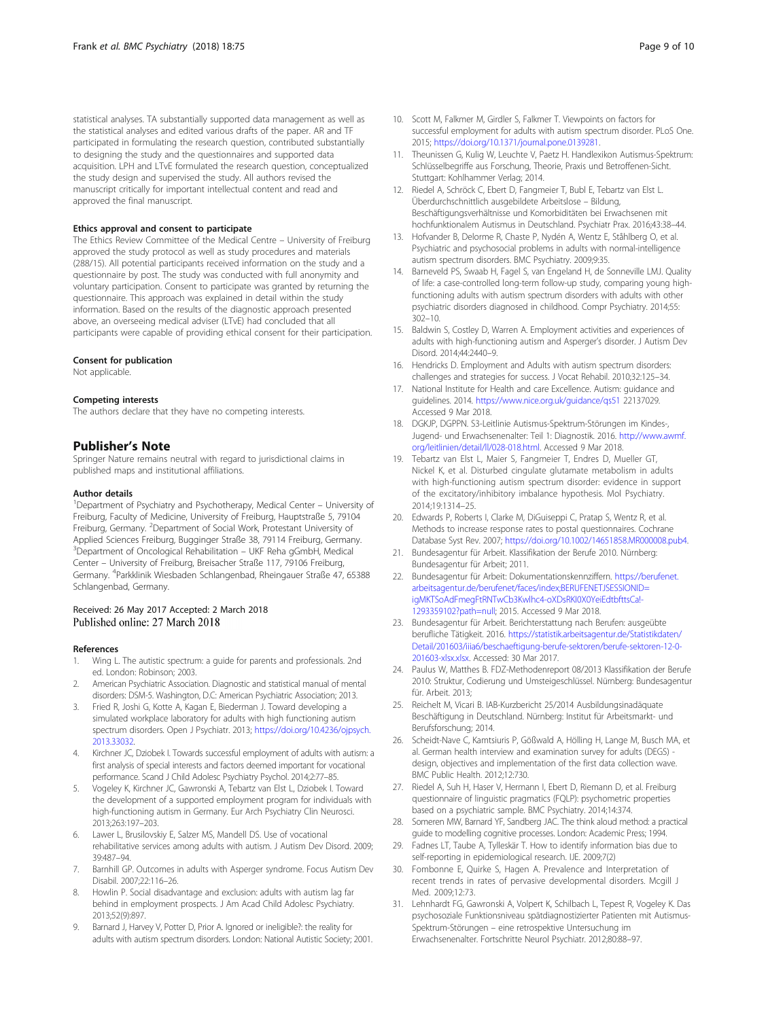<span id="page-8-0"></span>statistical analyses. TA substantially supported data management as well as the statistical analyses and edited various drafts of the paper. AR and TF participated in formulating the research question, contributed substantially to designing the study and the questionnaires and supported data acquisition. LPH and LTvE formulated the research question, conceptualized the study design and supervised the study. All authors revised the manuscript critically for important intellectual content and read and approved the final manuscript.

#### Ethics approval and consent to participate

The Ethics Review Committee of the Medical Centre – University of Freiburg approved the study protocol as well as study procedures and materials (288/15). All potential participants received information on the study and a questionnaire by post. The study was conducted with full anonymity and voluntary participation. Consent to participate was granted by returning the questionnaire. This approach was explained in detail within the study information. Based on the results of the diagnostic approach presented above, an overseeing medical adviser (LTvE) had concluded that all participants were capable of providing ethical consent for their participation.

#### Consent for publication

Not applicable.

#### Competing interests

The authors declare that they have no competing interests.

#### Publisher's Note

Springer Nature remains neutral with regard to jurisdictional claims in published maps and institutional affiliations.

#### Author details

<sup>1</sup>Department of Psychiatry and Psychotherapy, Medical Center - University of Freiburg, Faculty of Medicine, University of Freiburg, Hauptstraße 5, 79104 Freiburg, Germany. <sup>2</sup>Department of Social Work, Protestant University of Applied Sciences Freiburg, Bugginger Straße 38, 79114 Freiburg, Germany. <sup>3</sup>Department of Oncological Rehabilitation – UKF Reha gGmbH, Medical Center – University of Freiburg, Breisacher Straße 117, 79106 Freiburg, Germany. <sup>4</sup>Parkklinik Wiesbaden Schlangenbad, Rheingauer Straße 47, 65388 Schlangenbad, Germany.

#### Received: 26 May 2017 Accepted: 2 March 2018 Published online: 27 March 2018

#### References

- 1. Wing L. The autistic spectrum: a guide for parents and professionals. 2nd ed. London: Robinson; 2003.
- 2. American Psychiatric Association. Diagnostic and statistical manual of mental disorders: DSM-5. Washington, D.C: American Psychiatric Association; 2013.
- 3. Fried R, Joshi G, Kotte A, Kagan E, Biederman J. Toward developing a simulated workplace laboratory for adults with high functioning autism spectrum disorders. Open J Psychiatr. 2013; [https://doi.org/10.4236/ojpsych.](https://doi.org/10.4236/ojpsych.2013.33032) [2013.33032.](https://doi.org/10.4236/ojpsych.2013.33032)
- 4. Kirchner JC, Dziobek I. Towards successful employment of adults with autism: a first analysis of special interests and factors deemed important for vocational performance. Scand J Child Adolesc Psychiatry Psychol. 2014;2:77–85.
- 5. Vogeley K, Kirchner JC, Gawronski A, Tebartz van Elst L, Dziobek I. Toward the development of a supported employment program for individuals with high-functioning autism in Germany. Eur Arch Psychiatry Clin Neurosci. 2013;263:197–203.
- Lawer L, Brusilovskiy E, Salzer MS, Mandell DS. Use of vocational rehabilitative services among adults with autism. J Autism Dev Disord. 2009; 39:487–94.
- 7. Barnhill GP. Outcomes in adults with Asperger syndrome. Focus Autism Dev Disabil. 2007;22:116–26.
- Howlin P. Social disadvantage and exclusion: adults with autism lag far behind in employment prospects. J Am Acad Child Adolesc Psychiatry. 2013;52(9):897.
- Barnard J, Harvey V, Potter D, Prior A. Ignored or ineligible?: the reality for adults with autism spectrum disorders. London: National Autistic Society; 2001.
- 10. Scott M, Falkmer M, Girdler S, Falkmer T. Viewpoints on factors for successful employment for adults with autism spectrum disorder. PLoS One. 2015; [https://doi.org/10.1371/journal.pone.0139281.](https://doi.org/10.1371/journal.pone.0139281)
- 11. Theunissen G, Kulig W, Leuchte V, Paetz H. Handlexikon Autismus-Spektrum: Schlüsselbegriffe aus Forschung, Theorie, Praxis und Betroffenen-Sicht. Stuttgart: Kohlhammer Verlag; 2014.
- 12. Riedel A, Schröck C, Ebert D, Fangmeier T, Bubl E, Tebartz van Elst L. Überdurchschnittlich ausgebildete Arbeitslose – Bildung, Beschäftigungsverhältnisse und Komorbiditäten bei Erwachsenen mit hochfunktionalem Autismus in Deutschland. Psychiatr Prax. 2016;43:38–44.
- 13. Hofvander B, Delorme R, Chaste P, Nydén A, Wentz E, Ståhlberg O, et al. Psychiatric and psychosocial problems in adults with normal-intelligence autism spectrum disorders. BMC Psychiatry. 2009;9:35.
- 14. Barneveld PS, Swaab H, Fagel S, van Engeland H, de Sonneville LMJ. Quality of life: a case-controlled long-term follow-up study, comparing young highfunctioning adults with autism spectrum disorders with adults with other psychiatric disorders diagnosed in childhood. Compr Psychiatry. 2014;55: 302–10.
- 15. Baldwin S, Costley D, Warren A. Employment activities and experiences of adults with high-functioning autism and Asperger's disorder. J Autism Dev Disord. 2014;44:2440–9.
- 16. Hendricks D. Employment and Adults with autism spectrum disorders: challenges and strategies for success. J Vocat Rehabil. 2010;32:125–34.
- 17. National Institute for Health and care Excellence. Autism: guidance and guidelines. 2014. <https://www.nice.org.uk/guidance/qs51> 22137029. Accessed 9 Mar 2018.
- 18. DGKJP, DGPPN. S3-Leitlinie Autismus-Spektrum-Störungen im Kindes-, Jugend- und Erwachsenenalter: Teil 1: Diagnostik. 2016. [http://www.awmf.](http://www.awmf.org/leitlinien/detail/ll/028-018.html) [org/leitlinien/detail/ll/028-018.html.](http://www.awmf.org/leitlinien/detail/ll/028-018.html) Accessed 9 Mar 2018.
- 19. Tebartz van Elst L, Maier S, Fangmeier T, Endres D, Mueller GT, Nickel K, et al. Disturbed cingulate glutamate metabolism in adults with high-functioning autism spectrum disorder: evidence in support of the excitatory/inhibitory imbalance hypothesis. Mol Psychiatry. 2014;19:1314–25.
- 20. Edwards P, Roberts I, Clarke M, DiGuiseppi C, Pratap S, Wentz R, et al. Methods to increase response rates to postal questionnaires. Cochrane Database Syst Rev. 2007; <https://doi.org/10.1002/14651858.MR000008.pub4>.
- 21. Bundesagentur für Arbeit. Klassifikation der Berufe 2010. Nürnberg: Bundesagentur für Arbeit; 2011.
- 22. Bundesagentur für Arbeit: Dokumentationskennziffern. [https://berufenet.](https://berufenet.arbeitsagentur.de/berufenet/faces/index;BERUFENETJSESSIONID=igMKTSoAdFmegFtRNTwCb3Kwlhc4-oXDsRKI0X0YeiEdtbfttsCa!-1293359102?path=null) [arbeitsagentur.de/berufenet/faces/index;BERUFENETJSESSIONID=](https://berufenet.arbeitsagentur.de/berufenet/faces/index;BERUFENETJSESSIONID=igMKTSoAdFmegFtRNTwCb3Kwlhc4-oXDsRKI0X0YeiEdtbfttsCa!-1293359102?path=null) [igMKTSoAdFmegFtRNTwCb3Kwlhc4-oXDsRKI0X0YeiEdtbfttsCa!-](https://berufenet.arbeitsagentur.de/berufenet/faces/index;BERUFENETJSESSIONID=igMKTSoAdFmegFtRNTwCb3Kwlhc4-oXDsRKI0X0YeiEdtbfttsCa!-1293359102?path=null) [1293359102?path=null](https://berufenet.arbeitsagentur.de/berufenet/faces/index;BERUFENETJSESSIONID=igMKTSoAdFmegFtRNTwCb3Kwlhc4-oXDsRKI0X0YeiEdtbfttsCa!-1293359102?path=null); 2015. Accessed 9 Mar 2018.
- 23. Bundesagentur für Arbeit. Berichterstattung nach Berufen: ausgeübte berufliche Tätigkeit. 2016. [https://statistik.arbeitsagentur.de/Statistikdaten/](https://statistik.arbeitsagentur.de/Statistikdaten/Detail/201603/iiia6/beschaeftigung-berufe-sektoren/berufe-sektoren-12-0-201603-xlsx.xlsx) [Detail/201603/iiia6/beschaeftigung-berufe-sektoren/berufe-sektoren-12-0-](https://statistik.arbeitsagentur.de/Statistikdaten/Detail/201603/iiia6/beschaeftigung-berufe-sektoren/berufe-sektoren-12-0-201603-xlsx.xlsx) [201603-xlsx.xlsx.](https://statistik.arbeitsagentur.de/Statistikdaten/Detail/201603/iiia6/beschaeftigung-berufe-sektoren/berufe-sektoren-12-0-201603-xlsx.xlsx) Accessed: 30 Mar 2017.
- 24. Paulus W, Matthes B. FDZ-Methodenreport 08/2013 Klassifikation der Berufe 2010: Struktur, Codierung und Umsteigeschlüssel. Nürnberg: Bundesagentur für. Arbeit. 2013;
- 25. Reichelt M, Vicari B. IAB-Kurzbericht 25/2014 Ausbildungsinadäquate Beschäftigung in Deutschland. Nürnberg: Institut für Arbeitsmarkt- und Berufsforschung; 2014.
- 26. Scheidt-Nave C, Kamtsiuris P, Gößwald A, Hölling H, Lange M, Busch MA, et al. German health interview and examination survey for adults (DEGS) design, objectives and implementation of the first data collection wave. BMC Public Health. 2012;12:730.
- 27. Riedel A, Suh H, Haser V, Hermann I, Ebert D, Riemann D, et al. Freiburg questionnaire of linguistic pragmatics (FQLP): psychometric properties based on a psychiatric sample. BMC Psychiatry. 2014;14:374.
- 28. Someren MW, Barnard YF, Sandberg JAC. The think aloud method: a practical guide to modelling cognitive processes. London: Academic Press; 1994.
- 29. Fadnes LT, Taube A, Tylleskär T. How to identify information bias due to self-reporting in epidemiological research. IJE. 2009;7(2)
- 30. Fombonne E, Quirke S, Hagen A. Prevalence and Interpretation of recent trends in rates of pervasive developmental disorders. Mcgill J Med. 2009;12:73.
- 31. Lehnhardt FG, Gawronski A, Volpert K, Schilbach L, Tepest R, Vogeley K. Das psychosoziale Funktionsniveau spätdiagnostizierter Patienten mit Autismus-Spektrum-Störungen – eine retrospektive Untersuchung im Erwachsenenalter. Fortschritte Neurol Psychiatr. 2012;80:88–97.